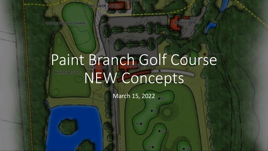**CERTIFICATION IN** 

# Paint Branch Golf Course NEW Concepts

March 15, 2022

**1951 C**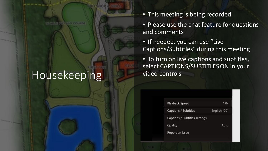#### Housekeeping

**UST LING COURSE** 

- This meeting is being recorded
- Please use the chat feature for questions and comments
- If needed, you can use "Live Captions/Subtitles" during this meeting
- To turn on live captions and subtitles, select CAPTIONS/SUBTITLES ON in your video controls

| Playback Speed                | 1.0x         |
|-------------------------------|--------------|
| Captions / Subtitles          | English [CC] |
| Captions / Subtitles settings |              |
| Quality                       | Auto         |
| Report an issue               |              |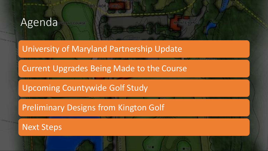#### Agenda

#### University of Maryland Partnership Update

Current Upgrades Being Made to the Course

Upcoming Countywide Golf Study

Preliminary Designs from Kington Golf

Next Steps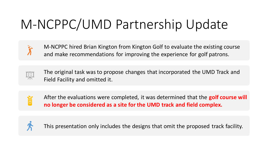## M-NCPPC/UMD Partnership Update



M-NCPPC hired Brian Kington from Kington Golf to evaluate the existing course and make recommendations for improving the experience for golf patrons.



The original task was to propose changes that incorporated the UMD Track and Field Facility and omitted it.



After the evaluations were completed, it was determined that the **golf course will no longer be considered as a site for the UMD track and field complex.** 



This presentation only includes the designs that omit the proposed track facility.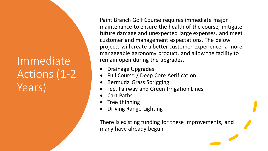### Immediate Actions (1-2 Years)

Paint Branch Golf Course requires immediate major maintenance to ensure the health of the course, mitigate future damage and unexpected large expenses, and meet customer and management expectations. The below projects will create a better customer experience, a more manageable agronomy product, and allow the facility to remain open during the upgrades.

- Drainage Upgrades
- Full Course / Deep Core Aerification
- Bermuda Grass Sprigging
- Tee, Fairway and Green Irrigation Lines
- Cart Paths
- Tree thinning
- Driving Range Lighting

There is existing funding for these improvements, and many have already begun.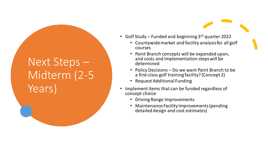## Next Steps – Midterm (2-5 Years)

- Golf Study Funded and beginning  $3<sup>rd</sup>$  quarter 2022
	- Countywide market and facility analysis for all golf courses
	- Paint Branch concepts will be expanded upon, and costs and implementation steps will be determined
	- Policy Decisions Do we want Paint Branch to be a first-class golf training facility? (Concept 2)
	- Request Additional Funding
- Implement items that can be funded regardless of concept choice
	- Driving Range Improvements
	- Maintenance Facility Improvements (pending detailed design and cost estimates)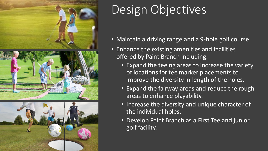



## Design Objectives

- Maintain a driving range and a 9-hole golf course.
- Enhance the existing amenities and facilities offered by Paint Branch including:
	- Expand the teeing areas to increase the variety of locations for tee marker placements to improve the diversity in length of the holes.
	- Expand the fairway areas and reduce the rough areas to enhance playability.
	- Increase the diversity and unique character of the individual holes.
	- Develop Paint Branch as a First Tee and junior golf facility.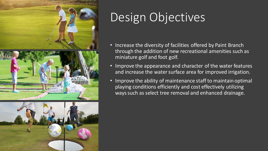





## Design Objectives

- Increase the diversity of facilities offered by Paint Branch through the addition of new recreational amenities such as miniature golf and foot golf.
- Improve the appearance and character of the water features and increase the water surface area for improved irrigation.
- Improve the ability of maintenance staff to maintain optimal playing conditions efficiently and cost effectively utilizing ways such as select tree removal and enhanced drainage.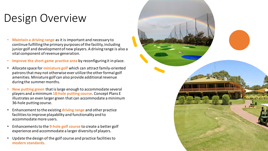## Design Overview

- **Maintain a driving range** as it is important and necessary to continue fulfilling the primary purposes of the facility, including junior golf and development of new players. A driving range is also a vital component of revenue generation.
- **Improve the short game practice area** by reconfiguring it in place.
- Allocate space for **miniature golf** which can attract family-oriented patrons that may not otherwise ever utilize the other formal golf amenities. Miniature golf can also provide additional revenue during the summer months.
- **New putting green** that is large enough to accommodate several players and a minimum **18-hole putting course**. Concept Plans E illustrates an even larger green that can accommodate a minimum 36-hole putting course.
- Enhancement to the existing **driving range** and other practice facilities to improve playability and functionality and to accommodate more users.
- Enhancements to the **9-hole golf course** to create a better golf experience and accommodate a larger diversity of players.
- Update the design of the golf course and practice facilities to **modern standards.**

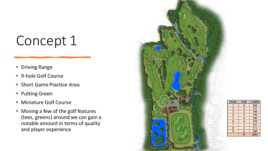## Concept 1

- Driving Range
- 9-hole Golf Course
- Short Game Practice Area
- Putting Green
- Miniature Golf Course
- Moving a few of the golf features (tees, greens) around we can gain a notable amount in terms of quality and player experience



| HOLE | PAR | <b>YARDS</b> |  |
|------|-----|--------------|--|
|      |     | 360          |  |
| 2    | 3   | 125          |  |
| 3    | 3   | 140          |  |
| 4    | 3   | 190          |  |
| 5    | 4   | 300          |  |
| 6    | 4   | 350          |  |
| ī    | 3   | 165          |  |
| 8    | 3   | 175          |  |
| 9    | 4   | 280          |  |
|      | 31  | 2085         |  |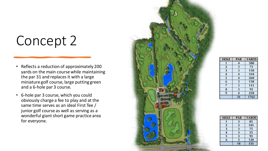## Concept 2

- Reflects a reduction of approximately 200 yards on the main course while maintaining the par 31 and replaces it with a large miniature golf course, large putting green and a 6-hole par 3 course.
- 6-hole par 3 course, which you could obviously charge a fee to play and at the same time serves as an ideal First Tee / junior golf course as well as serving as a wonderful giant short game practice area for everyone.



| HOLE                    | PAR         | <b>YARDS</b><br>380 |  |
|-------------------------|-------------|---------------------|--|
|                         | 4           |                     |  |
| $\overline{\mathbf{2}}$ | 3           | 75                  |  |
| 3                       | 3           | 150                 |  |
| 4<br>5<br>6             | 4<br>4<br>3 | 310                 |  |
|                         |             | 260                 |  |
|                         |             | 130                 |  |
| 7                       | 3           | 115                 |  |
| 8                       | 3           | 95                  |  |
| 9                       | 4           | 250                 |  |
|                         | 31          | 1765                |  |

| <b>HOLE</b>  | PAR | <b>YARDS</b> |
|--------------|-----|--------------|
|              | Э   | 85           |
| $\mathbf{z}$ | 3   | 105          |
| 3            | 3   | 75           |
|              | 3   | 55           |
| 5            | 3   | 95           |
| 6            | R   | 120          |
|              | 18  | 535          |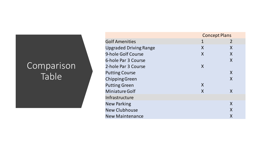#### **Comparison** Table

|                               | <b>Concept Plans</b> |                |  |
|-------------------------------|----------------------|----------------|--|
| <b>Golf Amenities</b>         | 1                    | $\overline{2}$ |  |
| <b>Upgraded Driving Range</b> | X                    | X              |  |
| 9-hole Golf Course            | X                    | X              |  |
| 6-hole Par 3 Course           |                      | X              |  |
| 2-hole Par 3 Course           | X                    |                |  |
| <b>Putting Course</b>         |                      | X              |  |
| <b>Chipping Green</b>         |                      | X              |  |
| <b>Putting Green</b>          | X                    |                |  |
| <b>Miniature Golf</b>         | X                    | X              |  |
| Infrastructure                |                      |                |  |
| <b>New Parking</b>            |                      | X              |  |
| <b>New Clubhouse</b>          |                      | X              |  |
| <b>New Maintenance</b>        |                      | X              |  |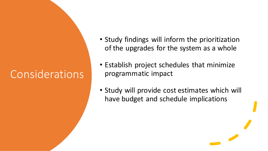### Considerations

- Study findings will inform the prioritization of the upgrades for the system as a whole
- Establish project schedules that minimize programmatic impact
- Study will provide cost estimates which will have budget and schedule implications